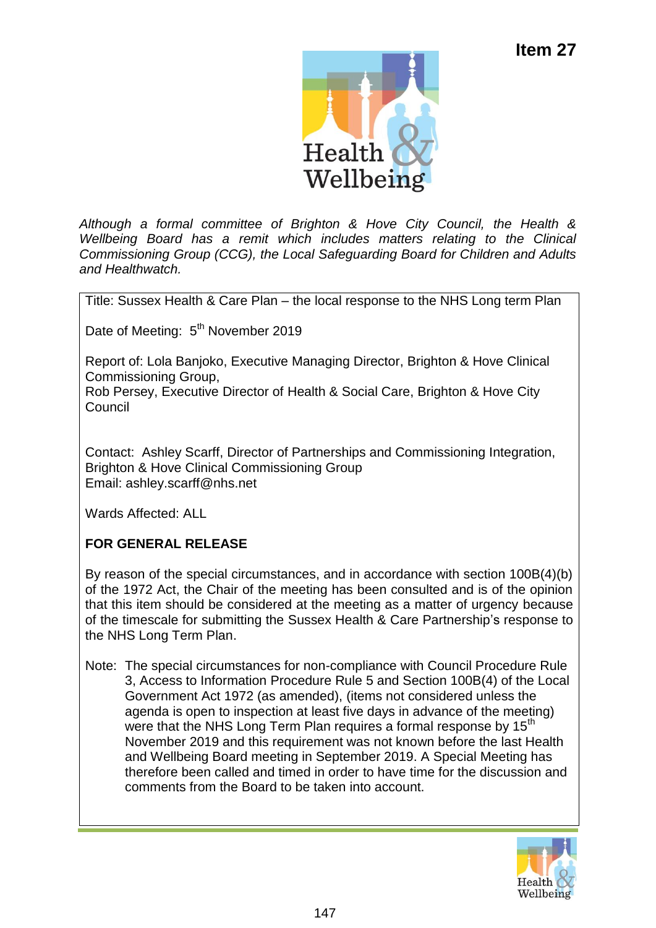

*Although a formal committee of Brighton & Hove City Council, the Health & Wellbeing Board has a remit which includes matters relating to the Clinical Commissioning Group (CCG), the Local Safeguarding Board for Children and Adults and Healthwatch.*

Title: Sussex Health & Care Plan – the local response to the NHS Long term Plan

Date of Meeting: 5<sup>th</sup> November 2019

Report of: Lola Banjoko, Executive Managing Director, Brighton & Hove Clinical Commissioning Group,

Rob Persey, Executive Director of Health & Social Care, Brighton & Hove City **Council** 

Contact: Ashley Scarff, Director of Partnerships and Commissioning Integration, Brighton & Hove Clinical Commissioning Group Email: ashley.scarff@nhs.net

Wards Affected: ALL

## **FOR GENERAL RELEASE**

By reason of the special circumstances, and in accordance with section 100B(4)(b) of the 1972 Act, the Chair of the meeting has been consulted and is of the opinion that this item should be considered at the meeting as a matter of urgency because of the timescale for submitting the Sussex Health & Care Partnership's response to the NHS Long Term Plan.

Note: The special circumstances for non-compliance with Council Procedure Rule 3, Access to Information Procedure Rule 5 and Section 100B(4) of the Local Government Act 1972 (as amended), (items not considered unless the agenda is open to inspection at least five days in advance of the meeting) were that the NHS Long Term Plan requires a formal response by  $15<sup>th</sup>$ November 2019 and this requirement was not known before the last Health and Wellbeing Board meeting in September 2019. A Special Meeting has therefore been called and timed in order to have time for the discussion and comments from the Board to be taken into account.

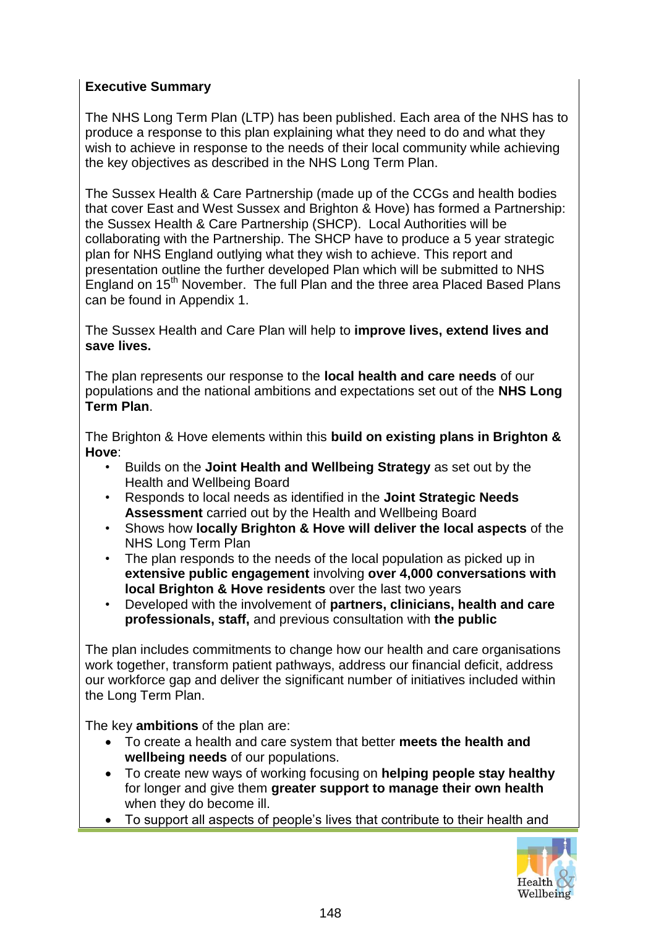## **Executive Summary**

The NHS Long Term Plan (LTP) has been published. Each area of the NHS has to produce a response to this plan explaining what they need to do and what they wish to achieve in response to the needs of their local community while achieving the key objectives as described in the NHS Long Term Plan.

The Sussex Health & Care Partnership (made up of the CCGs and health bodies that cover East and West Sussex and Brighton & Hove) has formed a Partnership: the Sussex Health & Care Partnership (SHCP). Local Authorities will be collaborating with the Partnership. The SHCP have to produce a 5 year strategic plan for NHS England outlying what they wish to achieve. This report and presentation outline the further developed Plan which will be submitted to NHS England on 15<sup>th</sup> November. The full Plan and the three area Placed Based Plans can be found in Appendix 1.

The Sussex Health and Care Plan will help to **improve lives, extend lives and save lives.**

The plan represents our response to the **local health and care needs** of our populations and the national ambitions and expectations set out of the **NHS Long Term Plan**.

The Brighton & Hove elements within this **build on existing plans in Brighton & Hove**:

- Builds on the **Joint Health and Wellbeing Strategy** as set out by the Health and Wellbeing Board
- Responds to local needs as identified in the **Joint Strategic Needs Assessment** carried out by the Health and Wellbeing Board
- Shows how **locally Brighton & Hove will deliver the local aspects** of the NHS Long Term Plan
- The plan responds to the needs of the local population as picked up in **extensive public engagement** involving **over 4,000 conversations with local Brighton & Hove residents** over the last two years
- Developed with the involvement of **partners, clinicians, health and care professionals, staff,** and previous consultation with **the public**

The plan includes commitments to change how our health and care organisations work together, transform patient pathways, address our financial deficit, address our workforce gap and deliver the significant number of initiatives included within the Long Term Plan.

The key **ambitions** of the plan are:

- To create a health and care system that better **meets the health and wellbeing needs** of our populations.
- To create new ways of working focusing on **helping people stay healthy** for longer and give them **greater support to manage their own health** when they do become ill.
- To support all aspects of people's lives that contribute to their health and

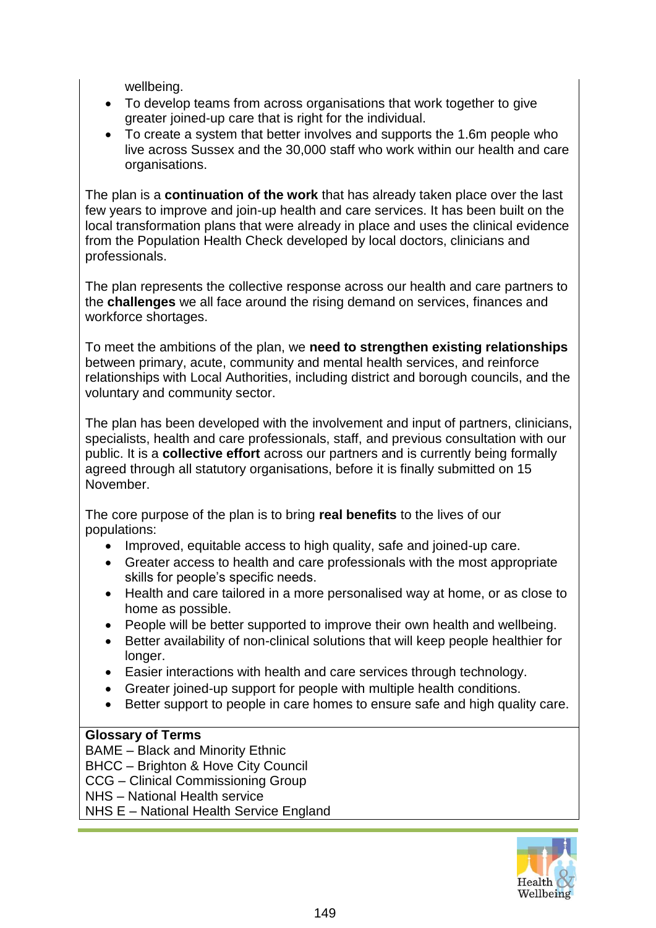wellbeing.

- To develop teams from across organisations that work together to give greater joined-up care that is right for the individual.
- To create a system that better involves and supports the 1.6m people who live across Sussex and the 30,000 staff who work within our health and care organisations.

The plan is a **continuation of the work** that has already taken place over the last few years to improve and join-up health and care services. It has been built on the local transformation plans that were already in place and uses the clinical evidence from the Population Health Check developed by local doctors, clinicians and professionals.

The plan represents the collective response across our health and care partners to the **challenges** we all face around the rising demand on services, finances and workforce shortages.

To meet the ambitions of the plan, we **need to strengthen existing relationships** between primary, acute, community and mental health services, and reinforce relationships with Local Authorities, including district and borough councils, and the voluntary and community sector.

The plan has been developed with the involvement and input of partners, clinicians, specialists, health and care professionals, staff, and previous consultation with our public. It is a **collective effort** across our partners and is currently being formally agreed through all statutory organisations, before it is finally submitted on 15 November.

The core purpose of the plan is to bring **real benefits** to the lives of our populations:

- Improved, equitable access to high quality, safe and joined-up care.
- Greater access to health and care professionals with the most appropriate skills for people's specific needs.
- Health and care tailored in a more personalised way at home, or as close to home as possible.
- People will be better supported to improve their own health and wellbeing.
- Better availability of non-clinical solutions that will keep people healthier for longer.
- Easier interactions with health and care services through technology.
- Greater joined-up support for people with multiple health conditions.
- Better support to people in care homes to ensure safe and high quality care.

## **Glossary of Terms**

BAME – Black and Minority Ethnic

BHCC – Brighton & Hove City Council

CCG – Clinical Commissioning Group

NHS – National Health service

NHS E – National Health Service England

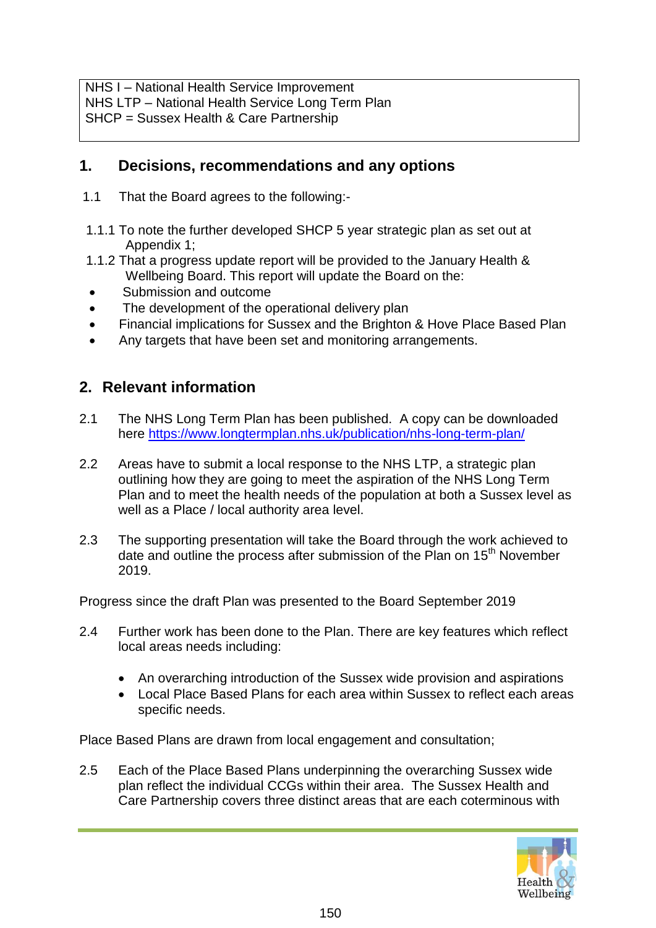NHS I – National Health Service Improvement NHS LTP – National Health Service Long Term Plan SHCP = Sussex Health & Care Partnership

# **1. Decisions, recommendations and any options**

- 1.1 That the Board agrees to the following:-
- 1.1.1 To note the further developed SHCP 5 year strategic plan as set out at Appendix 1;
- 1.1.2 That a progress update report will be provided to the January Health & Wellbeing Board. This report will update the Board on the:
- Submission and outcome
- The development of the operational delivery plan
- Financial implications for Sussex and the Brighton & Hove Place Based Plan
- Any targets that have been set and monitoring arrangements.

# **2. Relevant information**

- 2.1 The NHS Long Term Plan has been published. A copy can be downloaded here<https://www.longtermplan.nhs.uk/publication/nhs-long-term-plan/>
- 2.2 Areas have to submit a local response to the NHS LTP, a strategic plan outlining how they are going to meet the aspiration of the NHS Long Term Plan and to meet the health needs of the population at both a Sussex level as well as a Place / local authority area level.
- 2.3 The supporting presentation will take the Board through the work achieved to date and outline the process after submission of the Plan on 15<sup>th</sup> November 2019.

Progress since the draft Plan was presented to the Board September 2019

- 2.4 Further work has been done to the Plan. There are key features which reflect local areas needs including:
	- An overarching introduction of the Sussex wide provision and aspirations
	- Local Place Based Plans for each area within Sussex to reflect each areas specific needs.

Place Based Plans are drawn from local engagement and consultation;

2.5 Each of the Place Based Plans underpinning the overarching Sussex wide plan reflect the individual CCGs within their area. The Sussex Health and Care Partnership covers three distinct areas that are each coterminous with

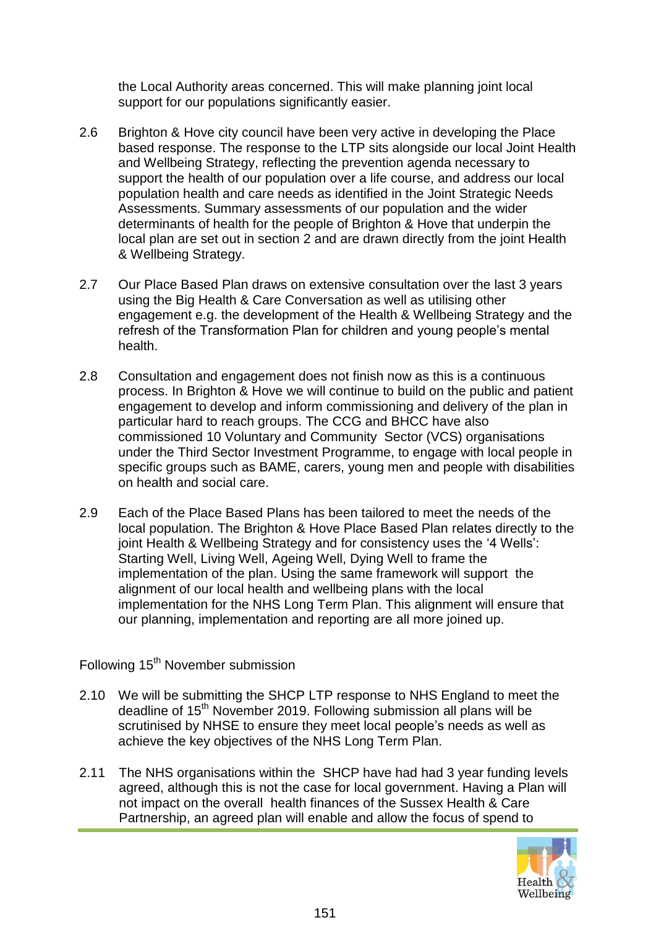the Local Authority areas concerned. This will make planning joint local support for our populations significantly easier.

- 2.6 Brighton & Hove city council have been very active in developing the Place based response. The response to the LTP sits alongside our local Joint Health and Wellbeing Strategy, reflecting the prevention agenda necessary to support the health of our population over a life course, and address our local population health and care needs as identified in the Joint Strategic Needs Assessments. Summary assessments of our population and the wider determinants of health for the people of Brighton & Hove that underpin the local plan are set out in section 2 and are drawn directly from the joint Health & Wellbeing Strategy.
- 2.7 Our Place Based Plan draws on extensive consultation over the last 3 years using the Big Health & Care Conversation as well as utilising other engagement e.g. the development of the Health & Wellbeing Strategy and the refresh of the Transformation Plan for children and young people's mental health.
- 2.8 Consultation and engagement does not finish now as this is a continuous process. In Brighton & Hove we will continue to build on the public and patient engagement to develop and inform commissioning and delivery of the plan in particular hard to reach groups. The CCG and BHCC have also commissioned 10 Voluntary and Community Sector (VCS) organisations under the Third Sector Investment Programme, to engage with local people in specific groups such as BAME, carers, young men and people with disabilities on health and social care.
- 2.9 Each of the Place Based Plans has been tailored to meet the needs of the local population. The Brighton & Hove Place Based Plan relates directly to the joint Health & Wellbeing Strategy and for consistency uses the '4 Wells': Starting Well, Living Well, Ageing Well, Dying Well to frame the implementation of the plan. Using the same framework will support the alignment of our local health and wellbeing plans with the local implementation for the NHS Long Term Plan. This alignment will ensure that our planning, implementation and reporting are all more joined up.

Following 15<sup>th</sup> November submission

- 2.10 We will be submitting the SHCP LTP response to NHS England to meet the deadline of 15<sup>th</sup> November 2019. Following submission all plans will be scrutinised by NHSE to ensure they meet local people's needs as well as achieve the key objectives of the NHS Long Term Plan.
- 2.11 The NHS organisations within the SHCP have had had 3 year funding levels agreed, although this is not the case for local government. Having a Plan will not impact on the overall health finances of the Sussex Health & Care Partnership, an agreed plan will enable and allow the focus of spend to

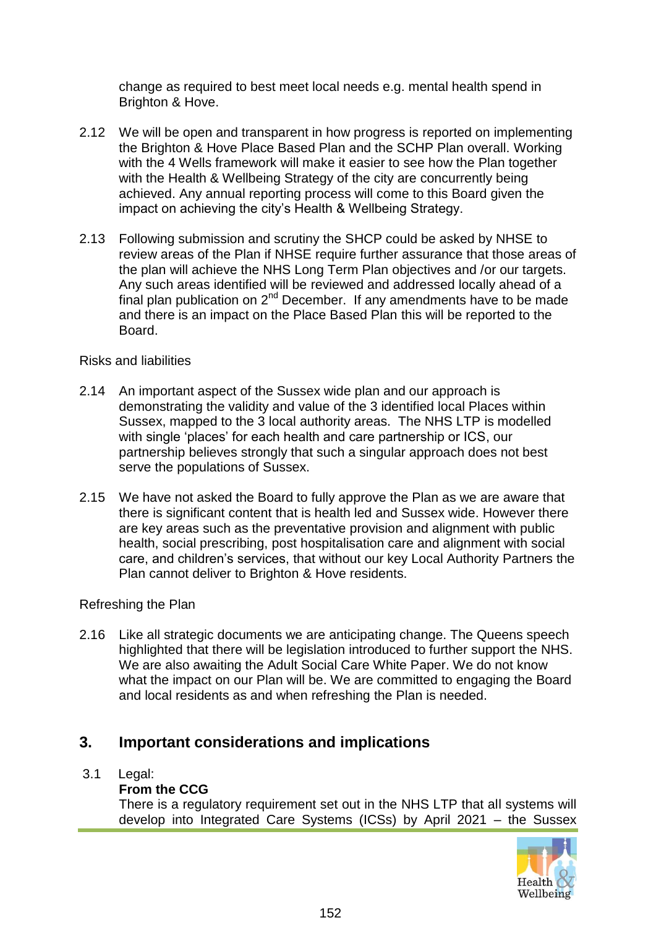change as required to best meet local needs e.g. mental health spend in Brighton & Hove.

- 2.12 We will be open and transparent in how progress is reported on implementing the Brighton & Hove Place Based Plan and the SCHP Plan overall. Working with the 4 Wells framework will make it easier to see how the Plan together with the Health & Wellbeing Strategy of the city are concurrently being achieved. Any annual reporting process will come to this Board given the impact on achieving the city's Health & Wellbeing Strategy.
- 2.13 Following submission and scrutiny the SHCP could be asked by NHSE to review areas of the Plan if NHSE require further assurance that those areas of the plan will achieve the NHS Long Term Plan objectives and /or our targets. Any such areas identified will be reviewed and addressed locally ahead of a final plan publication on  $2^{nd}$  December. If any amendments have to be made and there is an impact on the Place Based Plan this will be reported to the Board.

#### Risks and liabilities

- 2.14 An important aspect of the Sussex wide plan and our approach is demonstrating the validity and value of the 3 identified local Places within Sussex, mapped to the 3 local authority areas. The NHS LTP is modelled with single 'places' for each health and care partnership or ICS, our partnership believes strongly that such a singular approach does not best serve the populations of Sussex.
- 2.15 We have not asked the Board to fully approve the Plan as we are aware that there is significant content that is health led and Sussex wide. However there are key areas such as the preventative provision and alignment with public health, social prescribing, post hospitalisation care and alignment with social care, and children's services, that without our key Local Authority Partners the Plan cannot deliver to Brighton & Hove residents.

## Refreshing the Plan

2.16 Like all strategic documents we are anticipating change. The Queens speech highlighted that there will be legislation introduced to further support the NHS. We are also awaiting the Adult Social Care White Paper. We do not know what the impact on our Plan will be. We are committed to engaging the Board and local residents as and when refreshing the Plan is needed.

# **3. Important considerations and implications**

3.1 Legal:

## **From the CCG**

There is a regulatory requirement set out in the NHS LTP that all systems will develop into Integrated Care Systems (ICSs) by April 2021 – the Sussex

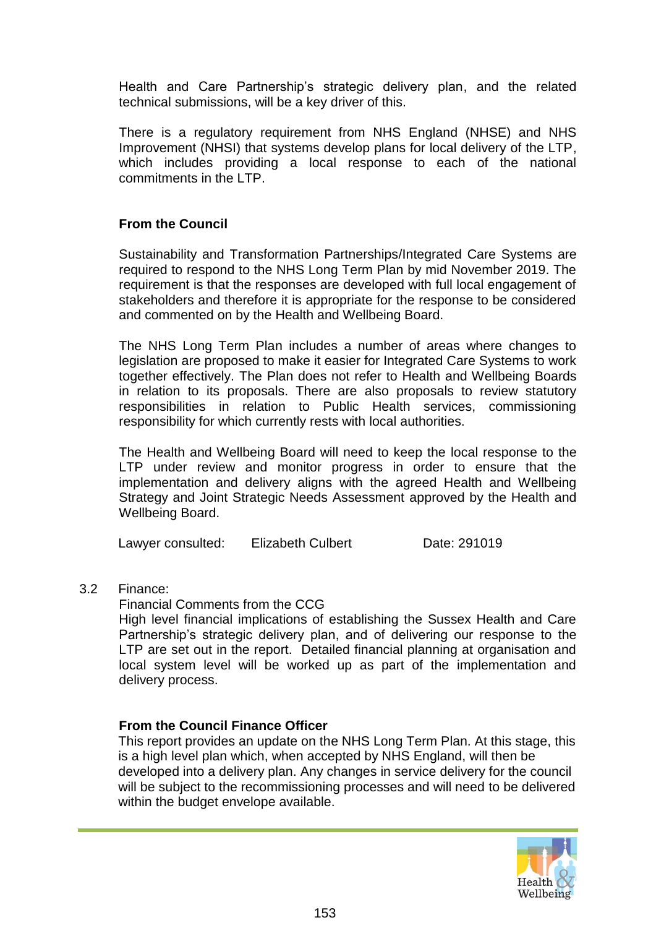Health and Care Partnership's strategic delivery plan, and the related technical submissions, will be a key driver of this.

There is a regulatory requirement from NHS England (NHSE) and NHS Improvement (NHSI) that systems develop plans for local delivery of the LTP, which includes providing a local response to each of the national commitments in the LTP.

### **From the Council**

Sustainability and Transformation Partnerships/Integrated Care Systems are required to respond to the NHS Long Term Plan by mid November 2019. The requirement is that the responses are developed with full local engagement of stakeholders and therefore it is appropriate for the response to be considered and commented on by the Health and Wellbeing Board.

The NHS Long Term Plan includes a number of areas where changes to legislation are proposed to make it easier for Integrated Care Systems to work together effectively. The Plan does not refer to Health and Wellbeing Boards in relation to its proposals. There are also proposals to review statutory responsibilities in relation to Public Health services, commissioning responsibility for which currently rests with local authorities.

The Health and Wellbeing Board will need to keep the local response to the LTP under review and monitor progress in order to ensure that the implementation and delivery aligns with the agreed Health and Wellbeing Strategy and Joint Strategic Needs Assessment approved by the Health and Wellbeing Board.

Lawyer consulted: Elizabeth Culbert Date: 291019

3.2 Finance:

Financial Comments from the CCG

High level financial implications of establishing the Sussex Health and Care Partnership's strategic delivery plan, and of delivering our response to the LTP are set out in the report. Detailed financial planning at organisation and local system level will be worked up as part of the implementation and delivery process.

#### **From the Council Finance Officer**

This report provides an update on the NHS Long Term Plan. At this stage, this is a high level plan which, when accepted by NHS England, will then be developed into a delivery plan. Any changes in service delivery for the council will be subject to the recommissioning processes and will need to be delivered within the budget envelope available.